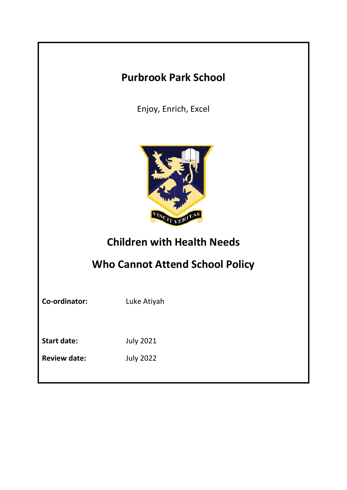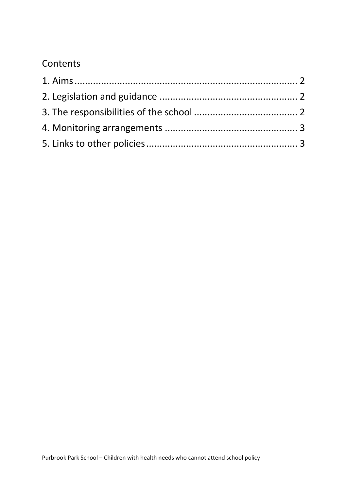# **Contents**

<span id="page-1-0"></span>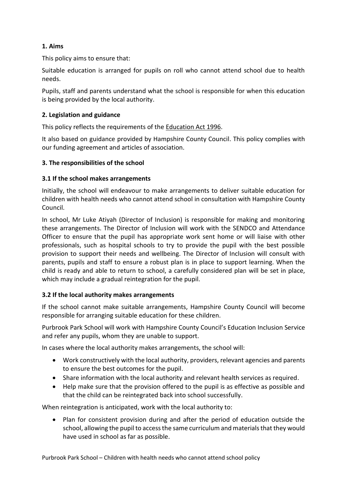## **1. Aims**

This policy aims to ensure that:

Suitable education is arranged for pupils on roll who cannot attend school due to health needs.

Pupils, staff and parents understand what the school is responsible for when this education is being provided by the local authority.

#### <span id="page-2-0"></span>**2. Legislation and guidance**

This policy reflects the requirements of the [Education Act 1996.](http://www.legislation.gov.uk/ukpga/1996/56/section/19)

It also based on guidance provided by Hampshire County Council. This policy complies with our funding agreement and articles of association.

#### <span id="page-2-1"></span>**3. The responsibilities of the school**

#### **3.1 If the school makes arrangements**

Initially, the school will endeavour to make arrangements to deliver suitable education for children with health needs who cannot attend school in consultation with Hampshire County Council.

In school, Mr Luke Atiyah (Director of Inclusion) is responsible for making and monitoring these arrangements. The Director of Inclusion will work with the SENDCO and Attendance Officer to ensure that the pupil has appropriate work sent home or will liaise with other professionals, such as hospital schools to try to provide the pupil with the best possible provision to support their needs and wellbeing. The Director of Inclusion will consult with parents, pupils and staff to ensure a robust plan is in place to support learning. When the child is ready and able to return to school, a carefully considered plan will be set in place, which may include a gradual reintegration for the pupil.

### **3.2 If the local authority makes arrangements**

If the school cannot make suitable arrangements, Hampshire County Council will become responsible for arranging suitable education for these children.

Purbrook Park School will work with Hampshire County Council's Education Inclusion Service and refer any pupils, whom they are unable to support.

In cases where the local authority makes arrangements, the school will:

- Work constructively with the local authority, providers, relevant agencies and parents to ensure the best outcomes for the pupil.
- Share information with the local authority and relevant health services as required.
- Help make sure that the provision offered to the pupil is as effective as possible and that the child can be reintegrated back into school successfully.

When reintegration is anticipated, work with the local authority to:

• Plan for consistent provision during and after the period of education outside the school, allowing the pupil to access the same curriculum and materials that they would have used in school as far as possible.